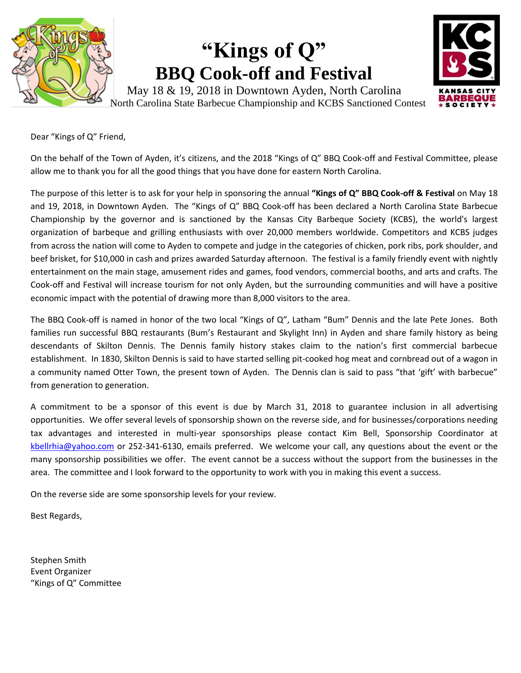

# **"Kings of Q" BBQ Cook-off and Festival**



May 18 & 19, 2018 in Downtown Ayden, North Carolina North Carolina State Barbecue Championship and KCBS Sanctioned Contest

Dear "Kings of Q" Friend,

On the behalf of the Town of Ayden, it's citizens, and the 2018 "Kings of Q" BBQ Cook-off and Festival Committee, please allow me to thank you for all the good things that you have done for eastern North Carolina.

The purpose of this letter is to ask for your help in sponsoring the annual **"Kings of Q" BBQ Cook-off & Festival** on May 18 and 19, 2018, in Downtown Ayden. The "Kings of Q" BBQ Cook-off has been declared a North Carolina State Barbecue Championship by the governor and is sanctioned by the Kansas City Barbeque Society (KCBS), the world's largest organization of barbeque and grilling enthusiasts with over 20,000 members worldwide. Competitors and KCBS judges from across the nation will come to Ayden to compete and judge in the categories of chicken, pork ribs, pork shoulder, and beef brisket, for \$10,000 in cash and prizes awarded Saturday afternoon. The festival is a family friendly event with nightly entertainment on the main stage, amusement rides and games, food vendors, commercial booths, and arts and crafts. The Cook-off and Festival will increase tourism for not only Ayden, but the surrounding communities and will have a positive economic impact with the potential of drawing more than 8,000 visitors to the area.

The BBQ Cook-off is named in honor of the two local "Kings of Q", Latham "Bum" Dennis and the late Pete Jones. Both families run successful BBQ restaurants (Bum's Restaurant and Skylight Inn) in Ayden and share family history as being descendants of Skilton Dennis. The Dennis family history stakes claim to the nation's first commercial barbecue establishment. In 1830, Skilton Dennis is said to have started selling pit-cooked hog meat and cornbread out of a wagon in a community named Otter Town, the present town of Ayden. The Dennis clan is said to pass "that 'gift' with barbecue" from generation to generation.

A commitment to be a sponsor of this event is due by March 31, 2018 to guarantee inclusion in all advertising opportunities. We offer several levels of sponsorship shown on the reverse side, and for businesses/corporations needing tax advantages and interested in multi-year sponsorships please contact Kim Bell, Sponsorship Coordinator at [kbellrhia@yahoo.com](mailto:kbellrhia@yahoo.com) or 252-341-6130, emails preferred. We welcome your call, any questions about the event or the many sponsorship possibilities we offer. The event cannot be a success without the support from the businesses in the area. The committee and I look forward to the opportunity to work with you in making this event a success.

On the reverse side are some sponsorship levels for your review.

Best Regards,

Stephen Smith Event Organizer "Kings of Q" Committee